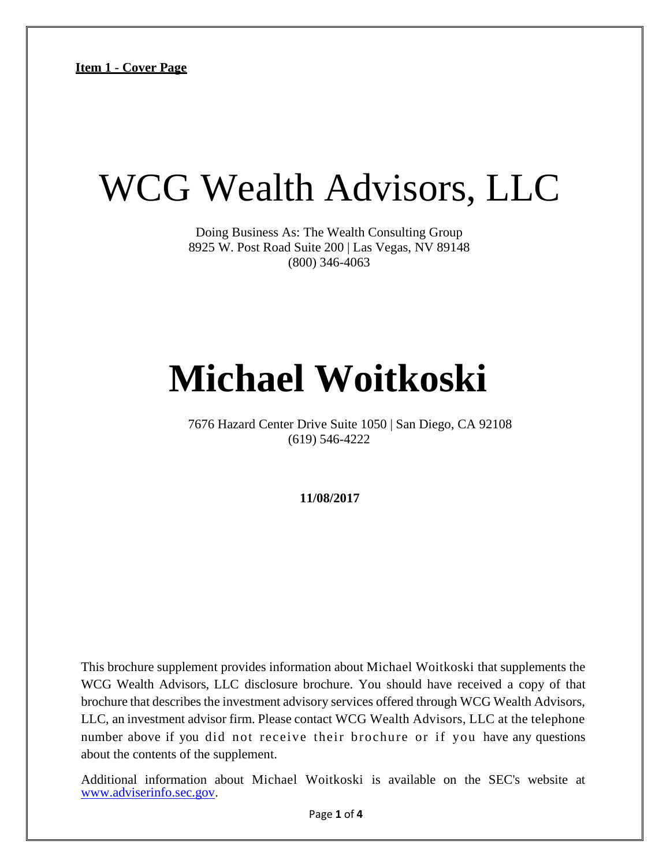# WCG Wealth Advisors, LLC

Doing Business As: The Wealth Consulting Group 8925 W. Post Road Suite 200 | Las Vegas, NV 89148 (800) 346-4063

# **Michael Woitkoski**

7676 Hazard Center Drive Suite 1050 | San Diego, CA 92108 (619) 546-4222

**11/08/2017**

This brochure supplement provides information about Michael Woitkoski that supplements the WCG Wealth Advisors, LLC disclosure brochure. You should have received a copy of that brochure that describes the investment advisory services offered through WCG Wealth Advisors, LLC, an investment advisor firm. Please contact WCG Wealth Advisors, LLC at the telephone number above if you did not receive their brochure or if you have any questions about the contents of the supplement.

Additional information about Michael Woitkoski is available on the SEC's website at [www.adviserinfo.sec.gov.](http://www.adviserinfo.sec.gov/)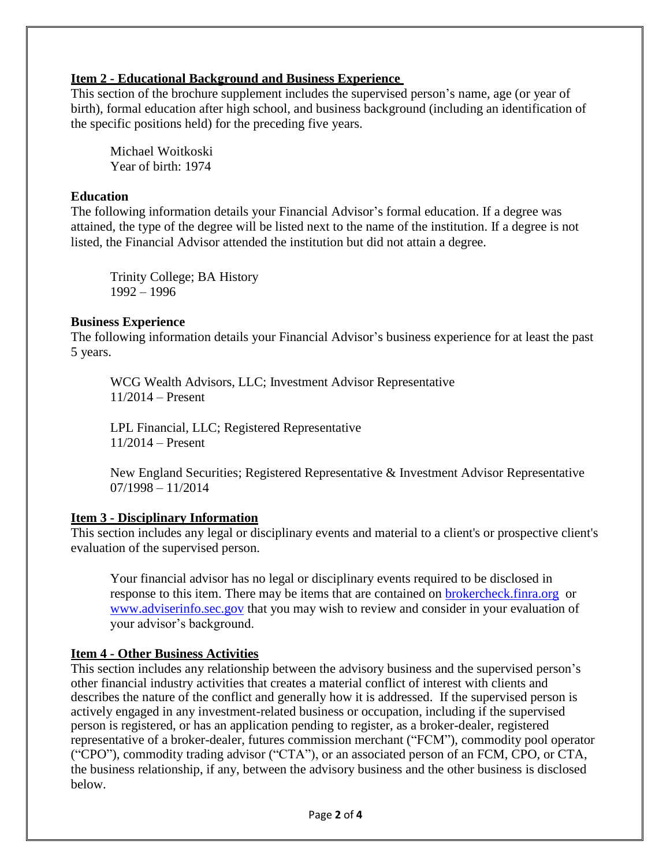## **Item 2 - Educational Background and Business Experience**

This section of the brochure supplement includes the supervised person's name, age (or year of birth), formal education after high school, and business background (including an identification of the specific positions held) for the preceding five years.

Michael Woitkoski Year of birth: 1974

#### **Education**

The following information details your Financial Advisor's formal education. If a degree was attained, the type of the degree will be listed next to the name of the institution. If a degree is not listed, the Financial Advisor attended the institution but did not attain a degree.

Trinity College; BA History 1992 – 1996

#### **Business Experience**

The following information details your Financial Advisor's business experience for at least the past 5 years.

WCG Wealth Advisors, LLC; Investment Advisor Representative 11/2014 – Present

LPL Financial, LLC; Registered Representative 11/2014 – Present

New England Securities; Registered Representative & Investment Advisor Representative 07/1998 – 11/2014

## **Item 3 - Disciplinary Information**

This section includes any legal or disciplinary events and material to a client's or prospective client's evaluation of the supervised person.

Your financial advisor has no legal or disciplinary events required to be disclosed in response to this item. There may be items that are contained on [brokercheck.finra.org](http://brokercheck.finra.org/) or [www.adviserinfo.sec.gov](http://www.adviserinfo.sec.gov/) that you may wish to review and consider in your evaluation of your advisor's background.

## **Item 4 - Other Business Activities**

This section includes any relationship between the advisory business and the supervised person's other financial industry activities that creates a material conflict of interest with clients and describes the nature of the conflict and generally how it is addressed. If the supervised person is actively engaged in any investment-related business or occupation, including if the supervised person is registered, or has an application pending to register, as a broker-dealer, registered representative of a broker-dealer, futures commission merchant ("FCM"), commodity pool operator ("CPO"), commodity trading advisor ("CTA"), or an associated person of an FCM, CPO, or CTA, the business relationship, if any, between the advisory business and the other business is disclosed below.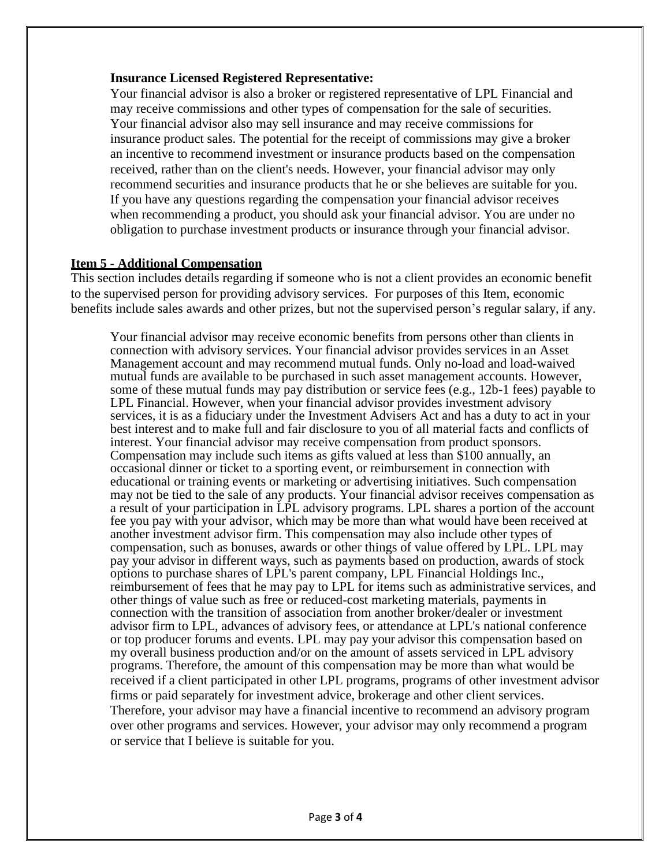#### **Insurance Licensed Registered Representative:**

Your financial advisor is also a broker or registered representative of LPL Financial and may receive commissions and other types of compensation for the sale of securities. Your financial advisor also may sell insurance and may receive commissions for insurance product sales. The potential for the receipt of commissions may give a broker an incentive to recommend investment or insurance products based on the compensation received, rather than on the client's needs. However, your financial advisor may only recommend securities and insurance products that he or she believes are suitable for you. If you have any questions regarding the compensation your financial advisor receives when recommending a product, you should ask your financial advisor. You are under no obligation to purchase investment products or insurance through your financial advisor.

#### **Item 5 - Additional Compensation**

This section includes details regarding if someone who is not a client provides an economic benefit to the supervised person for providing advisory services. For purposes of this Item, economic benefits include sales awards and other prizes, but not the supervised person's regular salary, if any.

Your financial advisor may receive economic benefits from persons other than clients in connection with advisory services. Your financial advisor provides services in an Asset Management account and may recommend mutual funds. Only no-load and load-waived mutual funds are available to be purchased in such asset management accounts. However, some of these mutual funds may pay distribution or service fees (e.g., 12b-1 fees) payable to LPL Financial. However, when your financial advisor provides investment advisory services, it is as a fiduciary under the Investment Advisers Act and has a duty to act in your best interest and to make full and fair disclosure to you of all material facts and conflicts of interest. Your financial advisor may receive compensation from product sponsors. Compensation may include such items as gifts valued at less than \$100 annually, an occasional dinner or ticket to a sporting event, or reimbursement in connection with educational or training events or marketing or advertising initiatives. Such compensation may not be tied to the sale of any products. Your financial advisor receives compensation as a result of your participation in LPL advisory programs. LPL shares a portion of the account fee you pay with your advisor, which may be more than what would have been received at another investment advisor firm. This compensation may also include other types of compensation, such as bonuses, awards or other things of value offered by LPL. LPL may pay your advisor in different ways, such as payments based on production, awards of stock options to purchase shares of LPL's parent company, LPL Financial Holdings Inc., reimbursement of fees that he may pay to LPL for items such as administrative services, and other things of value such as free or reduced-cost marketing materials, payments in connection with the transition of association from another broker/dealer or investment advisor firm to LPL, advances of advisory fees, or attendance at LPL's national conference or top producer forums and events. LPL may pay your advisor this compensation based on my overall business production and/or on the amount of assets serviced in LPL advisory programs. Therefore, the amount of this compensation may be more than what would be received if a client participated in other LPL programs, programs of other investment advisor firms or paid separately for investment advice, brokerage and other client services. Therefore, your advisor may have a financial incentive to recommend an advisory program over other programs and services. However, your advisor may only recommend a program or service that I believe is suitable for you.